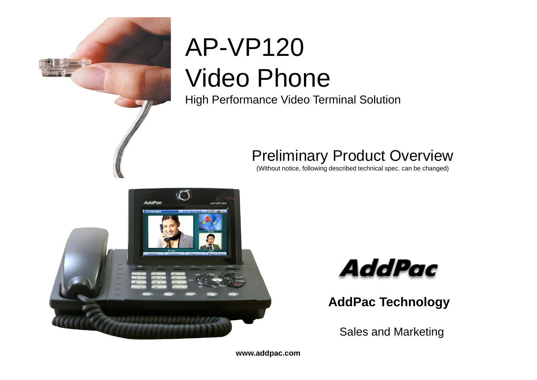

# AP-VP120 Video Phone

High Performance Video Terminal Solution

#### Preliminary Product Overview

(Without notice, following described technical spec. can be changed)





**AddPac Technology**

Sales and Marketing

**www.addpac.com**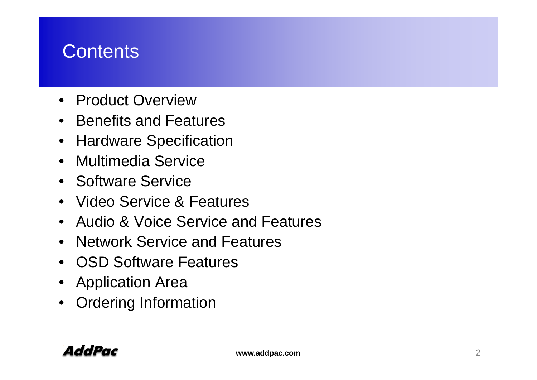# **Contents**

- Product Overview
- Benefits and Features
- Hardware Specification
- Multimedia Service
- Software Service
- Video Service & Features
- Audio & Voice Service and Features
- Network Service and Features
- OSD Software Features
- Application Area
- Ordering Information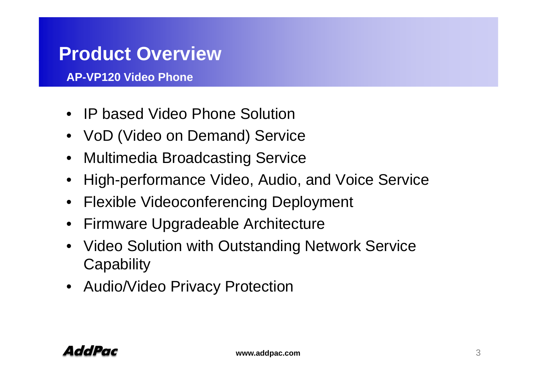# **Product Overview**

**AP-VP120 Video Phone**

- IP based Video Phone Solution
- VoD (Video on Demand) Service
- Multimedia Broadcasting Service
- High-performance Video, Audio, and Voice Service
- $\bullet$ Flexible Videoconferencing Deployment
- Firmware Upgradeable Architecture
- • Video Solution with Outstanding Network Service **Capability**
- Audio/Video Privacy Protection

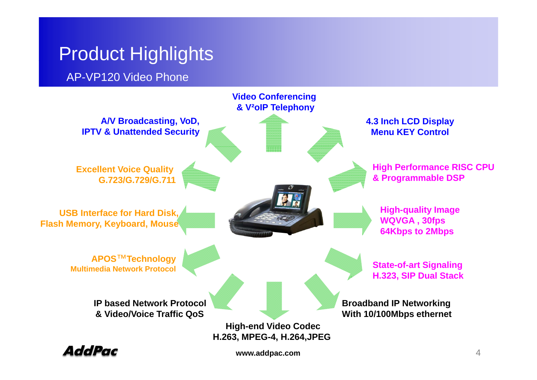# **Product Highlights**

AP-VP120 Video Phone



AddPac

**www.addpac.com** 4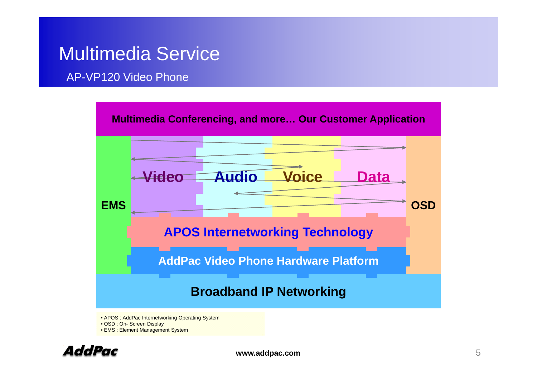### Multimedia Service

#### AP-VP120 Video Phone



• OSD : On- Screen Display

• EMS : Element Management System

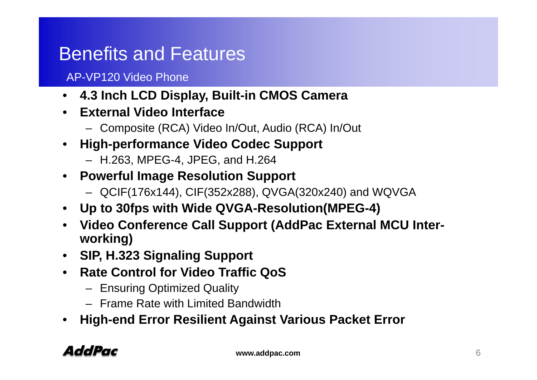# Benefits and Features

#### AP-VP120 Video Phone

- **4.3 Inch LCD Display, Built-in CMOS Camera**
- **External Video Interface**
	- Composite (RCA) Video In/Out, Audio (RCA) In/Out
- **High -performance Video Codec Support performance**
	- H.263, MPEG-4, JPEG, and H.264
- **Powerful Image Resolution Support**
	- QCIF(176x144), CIF(352x288), QVGA(320x240) and WQVGA
- **Up to 30fps with Wide QVGA-Resolution(MPEG-4)**
- **Video Conference Call Support (AddPac External MCU Interworking)**
- **SIP, H.323 Signaling Support**
- **Rate Control for Video Traffic QoS**
	- Ensuring Optimized Quality
	- Frame Rate with Limited Bandwidth
- •**High end Error Resilient Against Various Packet Error -end**

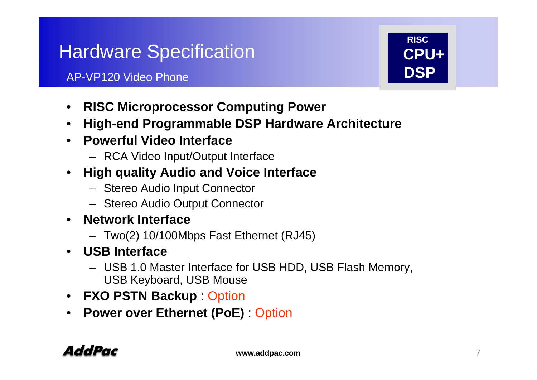# Hardware Specification

#### AP-VP120 Video Phone**Example 2 DSP**

- **RISC Mi C ti P Microprocessor Computing Power**
- $\bullet$ **High-end Programmable DSP Hardware Architecture**
- **Powerful Video Interface**
	- RCA Video Input/Output Interface
- • **High quality Audio and Voice Interface**
	- Stereo Audio Input Connector
	- Stereo Audio Output Connector
- $\bullet$  **Network Interface**
	- Two(2) 10/100Mbps Fast Ethernet (RJ45)
- **USB Interface**
	- USB 1.0 Master Interface for USB HDD, USB Flash Memory, USB Keyboard, USB Mouse
- **FXO PSTN Backup** : Option
- **Power over Ethernet (PoE)** : Option **( )**



**RISC**

**CPU+**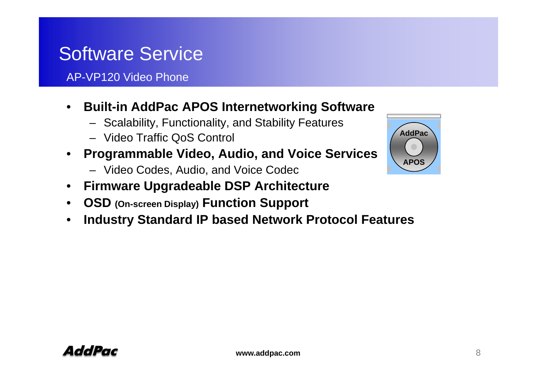# Software Service

AP-VP120 Video Phone

- Built-in AddPac APOS Internetworking Software  $\bullet$ 
	- Scalability, Functionality, and Stability Features
	- Video Traffic QoS Control **AddPac**
- • **Programmable Video, Audio, and Voice Services**
	- Video Codes, Audio, and Voice Codec
- •**Firmware Upgradeable DSP Architecture Firmware**
- $\bullet$ **OSD (On-screen Display) Function Support**
- •**Industry Standard IP based Network Protocol Features**

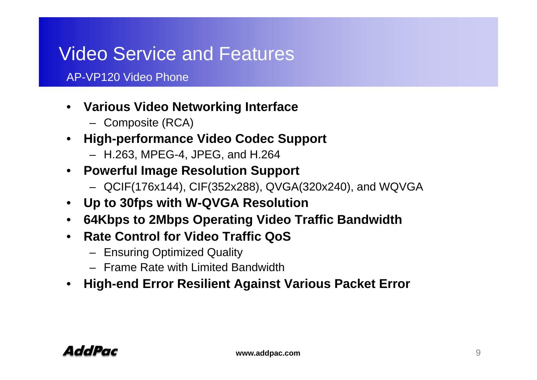# Video Service and Features

#### AP-VP120 Video Phone

- **V i Vid N t ki I t f Various Video e tworking In ter face**
	- Composite (RCA)
- **High-performance Video Codec Support**
	- H.263, MPEG-4, JPEG, and H.264
- **Powerful Image Resolution Support**
	- QCIF(176x144), CIF(352x288), QVGA(320x240), and WQVGA
- **Up to 30fps with W-QVGA Resolution**
- **64Kbps to 2Mbps Operating Video Traffic Bandwidth**
- Rate Control for Video Traffic QoS
	- Ensuring Optimized Quality
	- Frame Rate with Limited Bandwidth
- •**High-end Error Resilient Against Various Packet Error**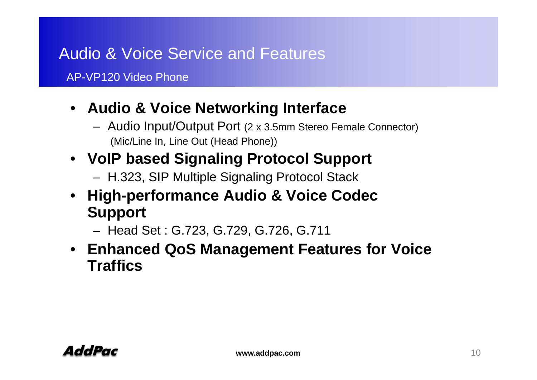#### Audio & Voice Service and Features

AP-VP120 Video Phone

#### **A di & V i N t ki I t f** • **Audio Voice Networking Interface**

- Audio Input/Output Port (2 x 3.5mm Stereo Female Connector) (Mic/Line In, Line Out (Head Phone))
- **VoIP based Signaling Protocol Support**
	- H.323, SIP Multiple Signaling Protocol Stack
- **High-performance Audio & Voice Codec Support**
	- Head Set : G 723 G 729 G 726 G 711 G.723, G.729, G.726, G.711
- **Enhanced QoS Management Features for Voice Traffics**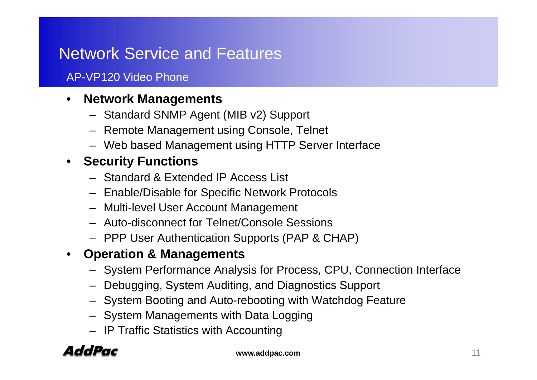#### Network Service and Features

#### AP-VP120 Video Phone

#### $\bullet$ **Network Mana gements**

- Standard SNMP Agent (MIB v2) Support
- Remote Management using Console, Telnet
- Web based Management using HTTP Server Interface

#### • **Security Functions**

- Standard & Extended IP Access List
- Enable/Disable for Specific Network Protocols
- Multi-level User Account Management
- Auto-disconnect for Telnet/Console Sessions
- PPP User Authentication Supports (PAP & CHAP)
- **Operation & Managements**
	- System Performance Analysis for Process, CPU, Connection Interface
	- Debugging, System Auditing, and Diagnostics Support
	- System Booting and Auto-rebooting with Watchdog Feature
	- System Managements with Data Logging
	- IP Traffic Statistics with Accounting

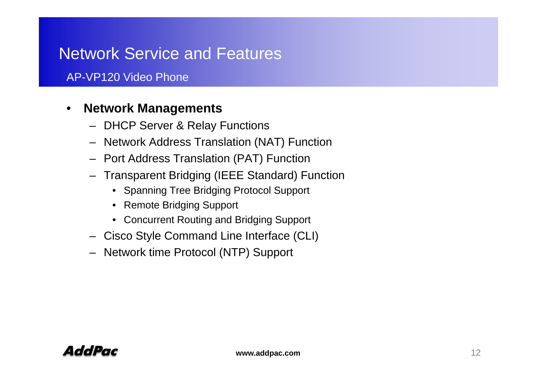#### Network Service and Features

#### AP-VP120 Video Phone

#### ${\sf Network}$  <code>Managements</code> •

- DHCP Server & Relay Functions
- Network Address Translation (NAT) Function
- Port Address Translation (PAT) Function
- Transparent Bridging (IEEE Standard) Function
	- Spanning Tree Bridging Protocol Support
	- Remote Bridging Support
	- Concurrent Routing and Bridging Support
- Cisco Style Command Line Interface (CLI)
- Network time Protocol (NTP) Support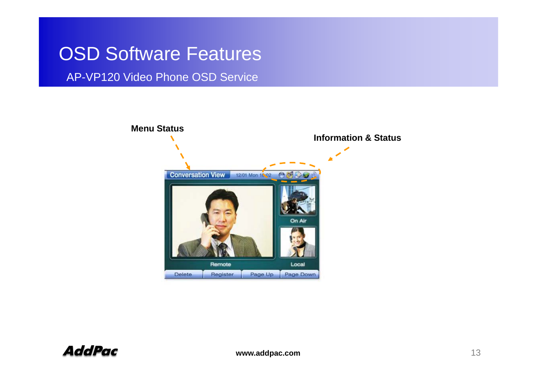AP-VP120 Video Phone OSD Service

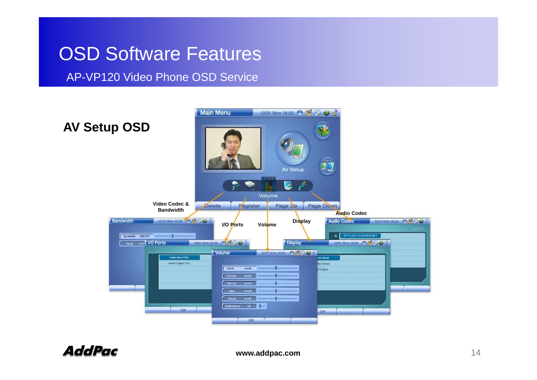AP-VP120 Video Phone OSD Service



AddPac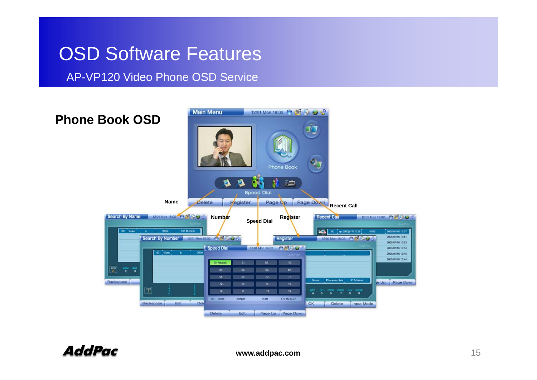#### AP-VP120 Video Phone OSD Service

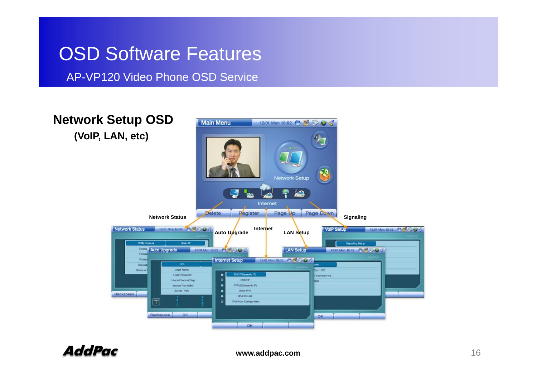AP-VP120 Video Phone OSD Service

**Network Setup OSD Main Menu** 12/01 Mon 18:02 8 CF & C **(VoIP, LAN, etc)** 99 Network Setup g à0. Internet Delete Pegister Page Up Page Down **Signaling Network Status Network Status** 2/01 Mon 18:02 49 84 35 **Internet VolP Setup** 12/01 Mon 18:02 (% NH 2:59) **Auto Upgrade LAN Setup** Ether **Auto Upgrade** 12/01 Mon 18:02 6 6 6 26 LAN Setup 12/01 Mon 18:02 64 65 367 **Elvis Internet Setup** 1201 Mon 18:02 09 09 Co C **TIR Login Name** for 1 PC **Charles on DIAPPIDE** meter Shar Serveral PCs Static #P **Herval Sucessitting** pppg@byramic.iPI **Wannal Remytklin** Server - Port Shote IPv6 Backspace IPv6 EUI-64  $\blacksquare$ Pv6 Auto Configuration OK Backspace  $CK$ OK

AddPac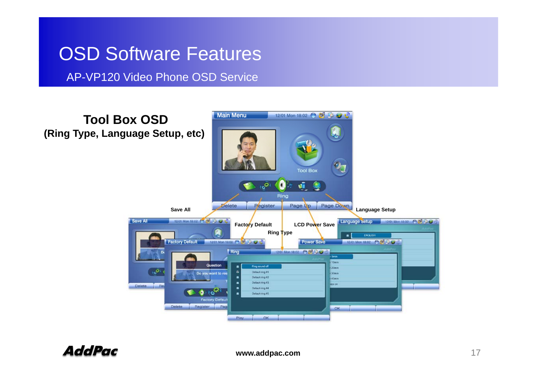AP-VP120 Video Phone OSD Service

**Main Menu** 12/01 Mon 18:02 3 GB BB **Tool Box OSD(Ring Type, Language Setup, etc) Tool Box**  $\overline{6^{2i}}$ o ú Ring Register Delete Page Up Page Down **Language Setup Save All** Save All 12:01 Mon 18:02 65 66 59 67 8 Language Setup 12:01 Mon 18:02 69 69 6267 **Factory Default LCD Power Save Ring Type ENGLIS Factory Default** 12/01 Mon 18:02 09 09 30 32 Power Save 12/01 Mon 18:02 3 09 5 3 3 12/01 Mon 18:02 (9 65 6 67 8) Ring 10min Question **Ring sound off**  $20<sub>mn</sub>$  $10^{10}$ Default ring #1 Do you want to re-**SOme** ٠ Default ring #2 Afmin Default ring #3 ٠ Delete Re **Dy's on** ٠ Default ring #4 Fri Default ring #5 **Enctory Defaul** Delete Register Page  $\alpha$ **OK**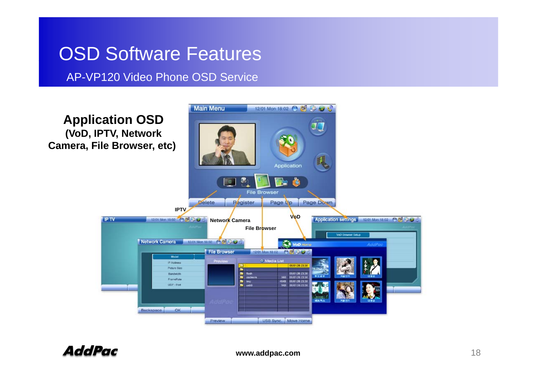#### AP-VP120 Video Phone OSD Service

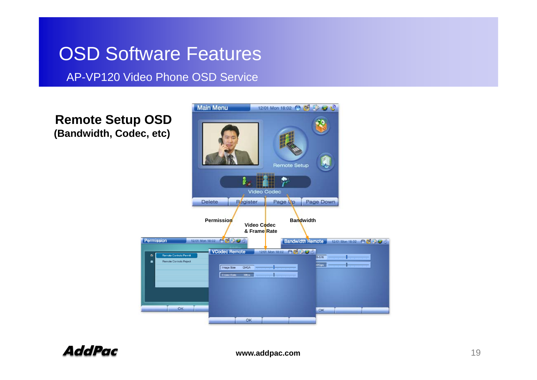AP-VP120 Video Phone OSD Service

**Remote Setup OSD (Bandwidth, Codec, etc)** 

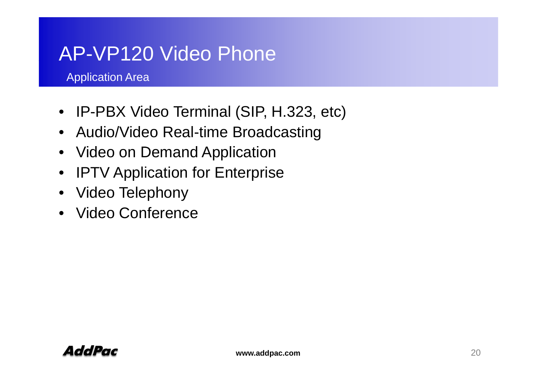# AP-VP120 Video Phone

Application Area

- IP-PBX Video Terminal (SIP, H.323, etc)
- Audio/Video Real-time Broadcasting
- Video on Demand Application
- •IPTV Application for Enterprise
- Video Telephony
- Video Conference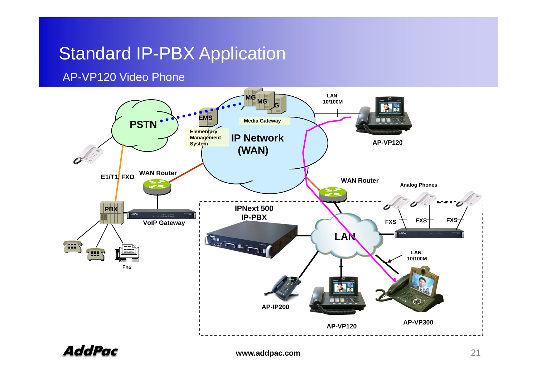#### Standard IP-PBX Application

#### AP-VP120 Video Phone



AddPac

**www.addpac.com** 21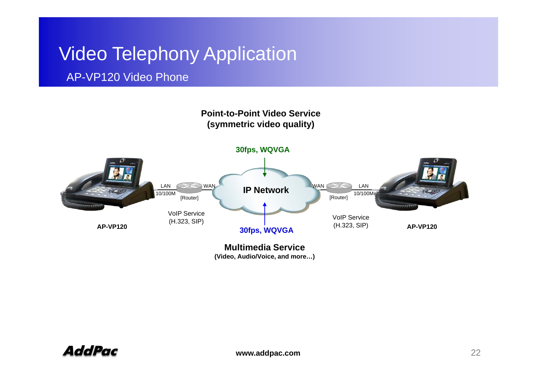# **Video Telephony Application**

#### AP-VP120 Video Phone

#### **Point-to-Point Video Service(symmetric video quality)**



**(Video, Audio/Voice, and more…)**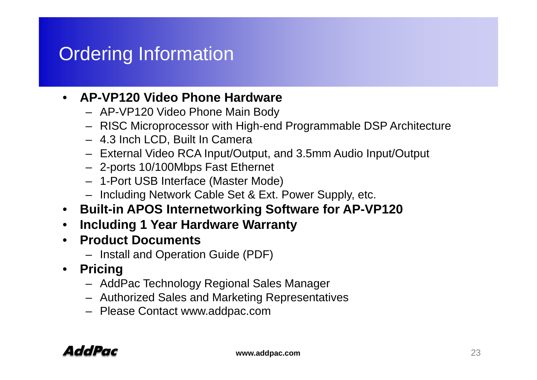# Ordering Information

#### • **AP-VP120 Video Phone Hardware**

- AP-VP120 Video Phone Main Body
- RISC Microprocessor with High-end Programmable DSP Architecture
- 4.3 Inch LCD, Built In Camera
- External Video RCA Input/Output, and 3.5mm Audio Input/Output
- 2-ports 10/100Mbps Fast Ethernet
- 1-Port USB Interface (Master Mode)
- Including Network Cable Set & Ext. Power Supply, etc.
- **Built-in APOS Internetworking Software for AP-VP120**
- •**Including 1 Year Hardware Warranty**
- **Product Documents**
	- Install and Operation Guide (PDF)
- **Pricing**
	- AddPac Technology Regional Sales Manager
	- Authorized Sales and Marketing Representatives
	- Please Contact www.addpac.com